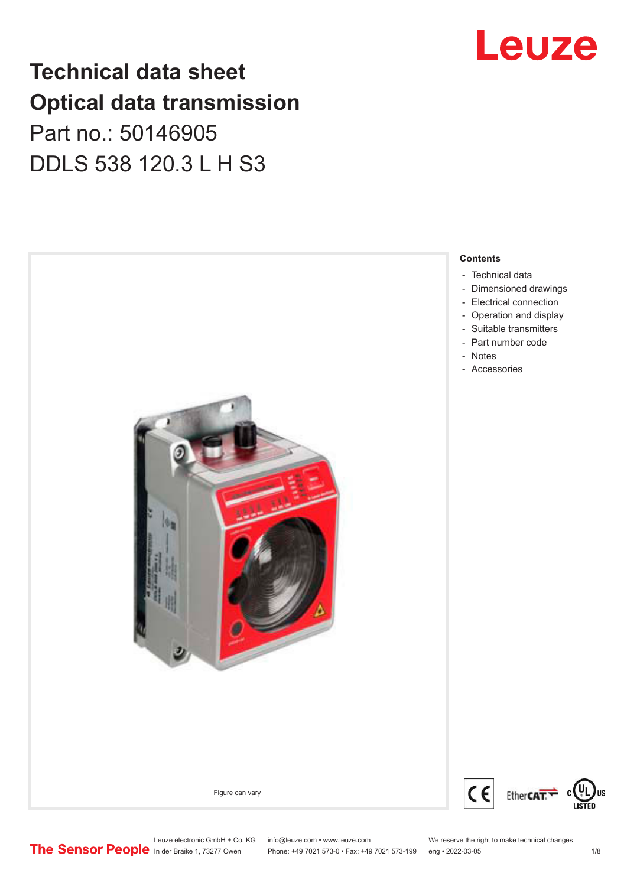### Leuze

### **Technical data sheet Optical data transmission**

Part no.: 50146905 DDLS 538 120.3 L H S3



Leuze electronic GmbH + Co. KG info@leuze.com • www.leuze.com We reserve the right to make technical changes<br>
The Sensor People in der Braike 1, 73277 Owen Phone: +49 7021 573-0 • Fax: +49 7021 573-199 eng • 2022-03-05

Phone: +49 7021 573-0 • Fax: +49 7021 573-199 eng • 2022-03-05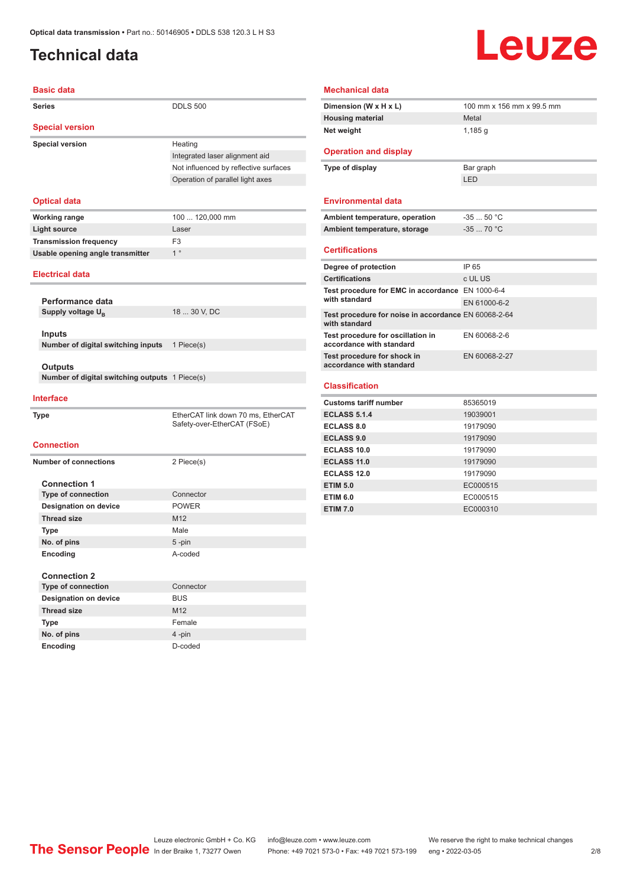#### <span id="page-1-0"></span>**Technical data**

## **Leuze**

| <b>Basic data</b>                              |                                       |  |  |  |
|------------------------------------------------|---------------------------------------|--|--|--|
| <b>Series</b>                                  | <b>DDLS 500</b>                       |  |  |  |
| <b>Special version</b>                         |                                       |  |  |  |
| <b>Special version</b>                         | Heating                               |  |  |  |
|                                                | Integrated laser alignment aid        |  |  |  |
|                                                | Not influenced by reflective surfaces |  |  |  |
|                                                | Operation of parallel light axes      |  |  |  |
|                                                |                                       |  |  |  |
| <b>Optical data</b>                            |                                       |  |  |  |
| <b>Working range</b>                           | 100  120,000 mm                       |  |  |  |
| <b>Light source</b>                            | Laser                                 |  |  |  |
| <b>Transmission frequency</b>                  | F <sub>3</sub>                        |  |  |  |
| Usable opening angle transmitter               | 1 <sup>°</sup>                        |  |  |  |
| <b>Electrical data</b>                         |                                       |  |  |  |
|                                                |                                       |  |  |  |
| Performance data                               |                                       |  |  |  |
| Supply voltage U <sub>R</sub>                  | 18  30 V, DC                          |  |  |  |
| <b>Inputs</b>                                  |                                       |  |  |  |
| Number of digital switching inputs             | 1 Piece(s)                            |  |  |  |
|                                                |                                       |  |  |  |
| Outputs                                        |                                       |  |  |  |
| Number of digital switching outputs 1 Piece(s) |                                       |  |  |  |
|                                                |                                       |  |  |  |
| <b>Interface</b>                               |                                       |  |  |  |
| <b>Type</b>                                    | EtherCAT link down 70 ms, EtherCAT    |  |  |  |
|                                                | Safety-over-EtherCAT (FSoE)           |  |  |  |
|                                                |                                       |  |  |  |
| <b>Connection</b>                              |                                       |  |  |  |
| <b>Number of connections</b>                   | 2 Piece(s)                            |  |  |  |
|                                                |                                       |  |  |  |
| <b>Connection 1</b>                            |                                       |  |  |  |
| <b>Type of connection</b>                      | Connector                             |  |  |  |
| <b>Designation on device</b>                   | <b>POWER</b>                          |  |  |  |
| <b>Thread size</b>                             | M12                                   |  |  |  |
| Type                                           | Male                                  |  |  |  |
| No. of pins                                    | 5-pin                                 |  |  |  |
| Encoding                                       | A-coded                               |  |  |  |
| <b>Connection 2</b>                            |                                       |  |  |  |
| <b>Type of connection</b>                      | Connector                             |  |  |  |
| <b>Designation on device</b>                   | <b>BUS</b>                            |  |  |  |
| <b>Thread size</b>                             | M12                                   |  |  |  |
| Type                                           | Female                                |  |  |  |

| <b>Mechanical data</b>                                                |               |  |  |  |
|-----------------------------------------------------------------------|---------------|--|--|--|
| 100 mm x 156 mm x 99.5 mm<br>Dimension (W x H x L)                    |               |  |  |  |
| <b>Housing material</b>                                               | Metal         |  |  |  |
| Net weight                                                            | 1,185q        |  |  |  |
| <b>Operation and display</b>                                          |               |  |  |  |
| Type of display                                                       | Bar graph     |  |  |  |
|                                                                       | LED           |  |  |  |
| <b>Environmental data</b>                                             |               |  |  |  |
| Ambient temperature, operation                                        | $-3550 °C$    |  |  |  |
| Ambient temperature, storage                                          | $-3570 °C$    |  |  |  |
| <b>Certifications</b>                                                 |               |  |  |  |
| Degree of protection                                                  | IP 65         |  |  |  |
| <b>Certifications</b>                                                 | c UL US       |  |  |  |
| Test procedure for EMC in accordance EN 1000-6-4<br>with standard     |               |  |  |  |
|                                                                       | EN 61000-6-2  |  |  |  |
| Test procedure for noise in accordance EN 60068-2-64<br>with standard |               |  |  |  |
| Test procedure for oscillation in<br>accordance with standard         | EN 60068-2-6  |  |  |  |
| Test procedure for shock in<br>accordance with standard               | EN 60068-2-27 |  |  |  |
| <b>Classification</b>                                                 |               |  |  |  |
| <b>Customs tariff number</b>                                          | 85365019      |  |  |  |
| <b>ECLASS 5.1.4</b>                                                   | 19039001      |  |  |  |
| <b>ECLASS 8.0</b>                                                     | 19179090      |  |  |  |
| <b>ECLASS 9.0</b>                                                     | 19179090      |  |  |  |
| ECLASS 10.0                                                           | 19179090      |  |  |  |
| <b>ECLASS 11.0</b>                                                    | 19179090      |  |  |  |
| <b>ECLASS 12.0</b>                                                    | 19179090      |  |  |  |
| <b>ETIM 5.0</b>                                                       | EC000515      |  |  |  |

**ETIM 6.0** EC000515 **ETIM 7.0** EC000310

Leuze electronic GmbH + Co. KG info@leuze.com • www.leuze.com We reserve the right to make technical changes<br>
The Sensor People in der Braike 1, 73277 Owen Phone: +49 7021 573-0 • Fax: +49 7021 573-199 eng • 2022-03-05

**No. of pins** 4 -pin **Encoding** D-coded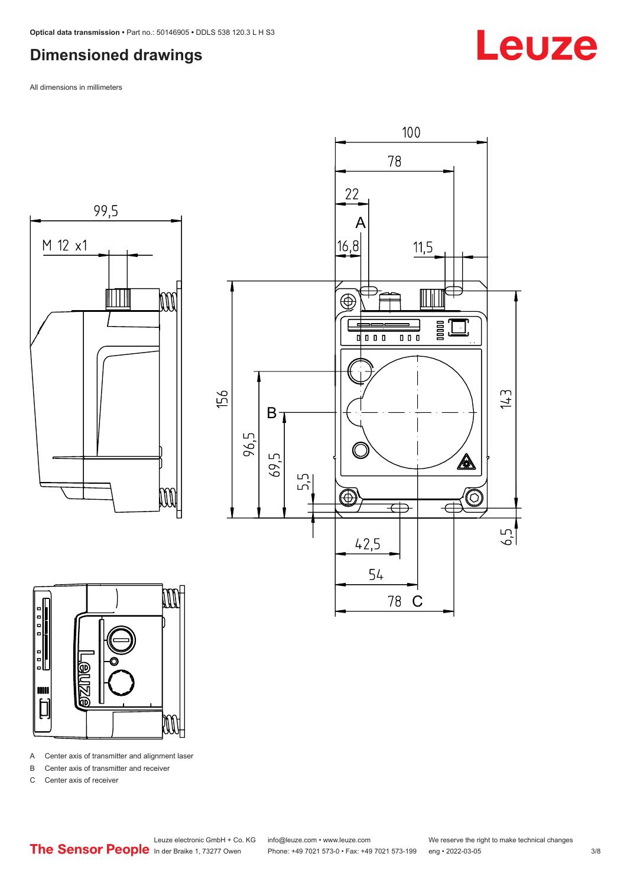#### <span id="page-2-0"></span>**Dimensioned drawings**

All dimensions in millimeters







A Center axis of transmitter and alignment laser

B Center axis of transmitter and receiver

C Center axis of receiver

Leuze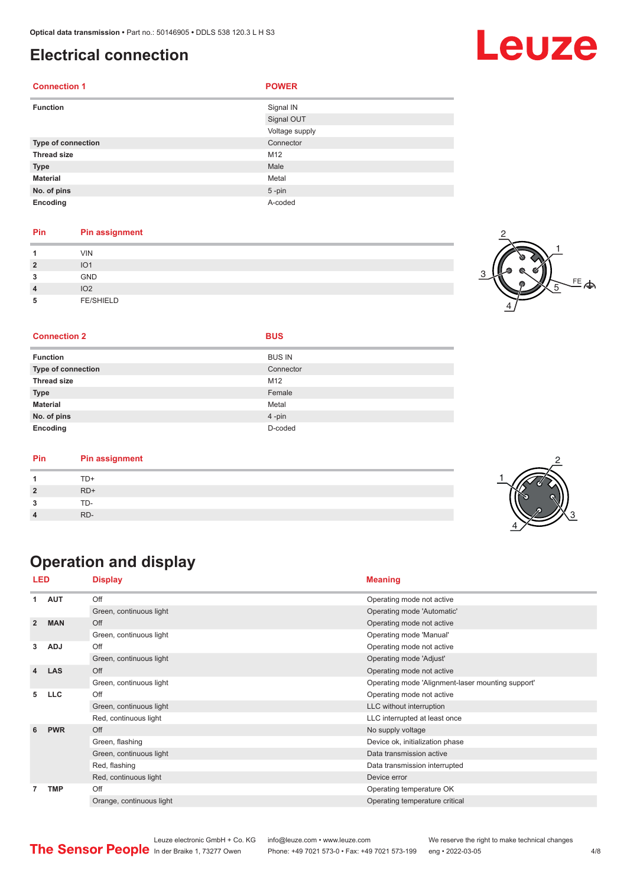#### <span id="page-3-0"></span>**Electrical connection**

| <b>Connection 1</b> | <b>POWER</b>   |
|---------------------|----------------|
| <b>Function</b>     | Signal IN      |
|                     | Signal OUT     |
|                     | Voltage supply |
| Type of connection  | Connector      |
| <b>Thread size</b>  | M12            |
| <b>Type</b>         | Male           |
| <b>Material</b>     | Metal          |
| No. of pins         | $5 - pin$      |
| Encoding            | A-coded        |

#### **Pin Pin assignment**

| и              | <b>VIN</b>       |  |
|----------------|------------------|--|
| $\overline{2}$ | IO <sub>1</sub>  |  |
| 3              | <b>GND</b>       |  |
| $\overline{4}$ | IO <sub>2</sub>  |  |
| 5              | <b>FE/SHIELD</b> |  |

### $FE$  $\spadesuit$ 4 5

Leuze

#### **Connection 2 BUS**

| <b>Function</b>    | <b>BUS IN</b> |
|--------------------|---------------|
| Type of connection | Connector     |
| Thread size        | M12           |
| <b>Type</b>        | Female        |
| <b>Material</b>    | Metal         |
| No. of pins        | 4-pin         |
| Encoding           | D-coded       |

| Pin | <b>Pin assignment</b> |  |
|-----|-----------------------|--|
|     | TD+                   |  |
|     | $RD+$                 |  |
|     | TD-                   |  |
|     | RD-                   |  |

### **Operation and display**

| LED            |            | <b>Display</b>           | <b>Meaning</b>                                                                                                                                                             |  |
|----------------|------------|--------------------------|----------------------------------------------------------------------------------------------------------------------------------------------------------------------------|--|
| 1              | <b>AUT</b> | Off                      | Operating mode not active                                                                                                                                                  |  |
|                |            | Green, continuous light  | Operating mode 'Automatic'                                                                                                                                                 |  |
| $\overline{2}$ | <b>MAN</b> | Off                      | Operating mode not active                                                                                                                                                  |  |
|                |            | Green, continuous light  | Operating mode 'Manual'                                                                                                                                                    |  |
| 3              | <b>ADJ</b> | Off                      | Operating mode not active                                                                                                                                                  |  |
|                |            | Green, continuous light  | Operating mode 'Adjust'                                                                                                                                                    |  |
| 4              | <b>LAS</b> | Off                      | Operating mode not active                                                                                                                                                  |  |
|                |            | Green, continuous light  | Operating mode 'Alignment-laser mounting support'                                                                                                                          |  |
| 5              | <b>LLC</b> | Off                      | Operating mode not active                                                                                                                                                  |  |
|                |            | Green, continuous light  | LLC without interruption                                                                                                                                                   |  |
|                |            | Red, continuous light    | LLC interrupted at least once                                                                                                                                              |  |
| 6              | <b>PWR</b> | Off                      | No supply voltage                                                                                                                                                          |  |
|                |            | Green, flashing          | Device ok, initialization phase<br>Data transmission active<br>Data transmission interrupted<br>Device error<br>Operating temperature OK<br>Operating temperature critical |  |
|                |            | Green, continuous light  |                                                                                                                                                                            |  |
|                |            | Red, flashing            |                                                                                                                                                                            |  |
|                |            | Red, continuous light    |                                                                                                                                                                            |  |
| $\overline{7}$ | <b>TMP</b> | Off                      |                                                                                                                                                                            |  |
|                |            | Orange, continuous light |                                                                                                                                                                            |  |



Leuze electronic GmbH + Co. KG info@leuze.com • www.leuze.com We reserve the right to make technical changes<br>
The Sensor People in der Braike 1, 73277 Owen Phone: +49 7021 573-0 • Fax: +49 7021 573-199 eng • 2022-03-05 Phone: +49 7021 573-0 • Fax: +49 7021 573-199 eng • 2022-03-05 4/8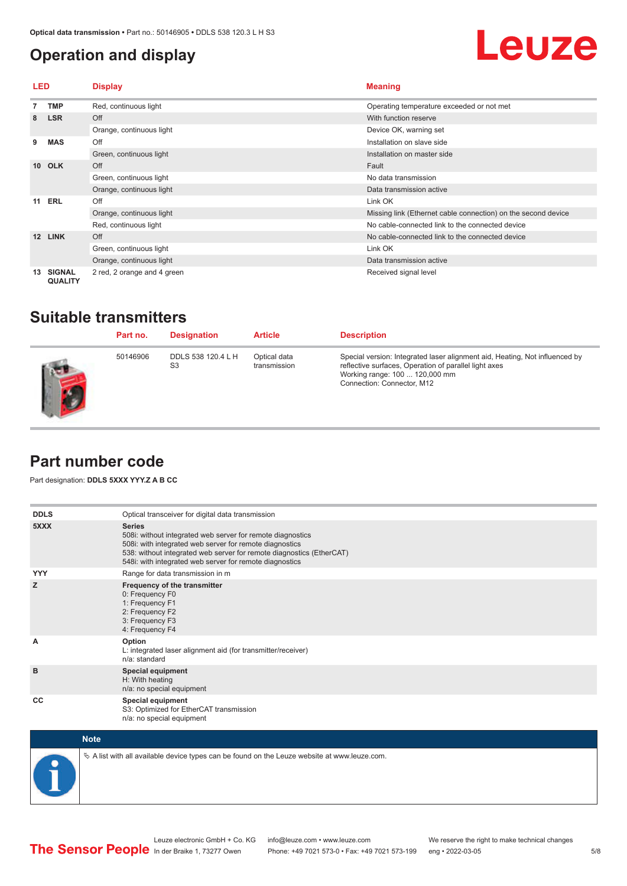#### <span id="page-4-0"></span>**Operation and display**

## Leuze

| LED             |                                                          | <b>Display</b>                                  | <b>Meaning</b>                                                |
|-----------------|----------------------------------------------------------|-------------------------------------------------|---------------------------------------------------------------|
|                 | <b>TMP</b>                                               | Red, continuous light                           | Operating temperature exceeded or not met                     |
| 8               | <b>LSR</b>                                               | Off                                             | With function reserve                                         |
|                 |                                                          | Orange, continuous light                        | Device OK, warning set                                        |
| 9               | <b>MAS</b>                                               | Off                                             | Installation on slave side                                    |
|                 |                                                          | Green, continuous light                         | Installation on master side                                   |
| 10 <sup>1</sup> | <b>OLK</b>                                               | Off                                             | Fault                                                         |
|                 |                                                          | Green, continuous light                         | No data transmission                                          |
|                 |                                                          | Orange, continuous light                        | Data transmission active                                      |
| 11              | <b>ERL</b>                                               | Off                                             | Link OK                                                       |
|                 |                                                          | Orange, continuous light                        | Missing link (Ethernet cable connection) on the second device |
|                 |                                                          | Red, continuous light                           | No cable-connected link to the connected device               |
| 12              | <b>LINK</b><br>Off<br>Link OK<br>Green, continuous light | No cable-connected link to the connected device |                                                               |
|                 |                                                          |                                                 |                                                               |
|                 |                                                          | Orange, continuous light                        | Data transmission active                                      |
| 13              | <b>SIGNAL</b><br><b>QUALITY</b>                          | 2 red, 2 orange and 4 green                     | Received signal level                                         |

#### **Suitable transmitters**

| Part no. | <b>Designation</b>                   | <b>Article</b>               | <b>Description</b>                                                                                                                                                                                   |
|----------|--------------------------------------|------------------------------|------------------------------------------------------------------------------------------------------------------------------------------------------------------------------------------------------|
| 50146906 | DDLS 538 120.4 L H<br>S <sub>3</sub> | Optical data<br>transmission | Special version: Integrated laser alignment aid, Heating, Not influenced by<br>reflective surfaces, Operation of parallel light axes<br>Working range: 100  120,000 mm<br>Connection: Connector, M12 |

#### **Part number code**

Part designation: **DDLS 5XXX YYY.Z A B CC**

| <b>DDLS</b> | Optical transceiver for digital data transmission                                                                                                                                                                                                                         |
|-------------|---------------------------------------------------------------------------------------------------------------------------------------------------------------------------------------------------------------------------------------------------------------------------|
| 5XXX        | <b>Series</b><br>508i: without integrated web server for remote diagnostics<br>508i: with integrated web server for remote diagnostics<br>538: without integrated web server for remote diagnostics (EtherCAT)<br>548i: with integrated web server for remote diagnostics |
| <b>YYY</b>  | Range for data transmission in m                                                                                                                                                                                                                                          |
| z           | Frequency of the transmitter<br>0: Frequency F0<br>1: Frequency F1<br>2: Frequency F2<br>3: Frequency F3<br>4: Frequency F4                                                                                                                                               |
| A           | Option<br>L: integrated laser alignment aid (for transmitter/receiver)<br>n/a: standard                                                                                                                                                                                   |
| B           | <b>Special equipment</b><br>H: With heating<br>n/a: no special equipment                                                                                                                                                                                                  |
| CC          | Special equipment<br>S3: Optimized for EtherCAT transmission<br>n/a: no special equipment                                                                                                                                                                                 |



 $\&$  A list with all available device types can be found on the Leuze website at www.leuze.com.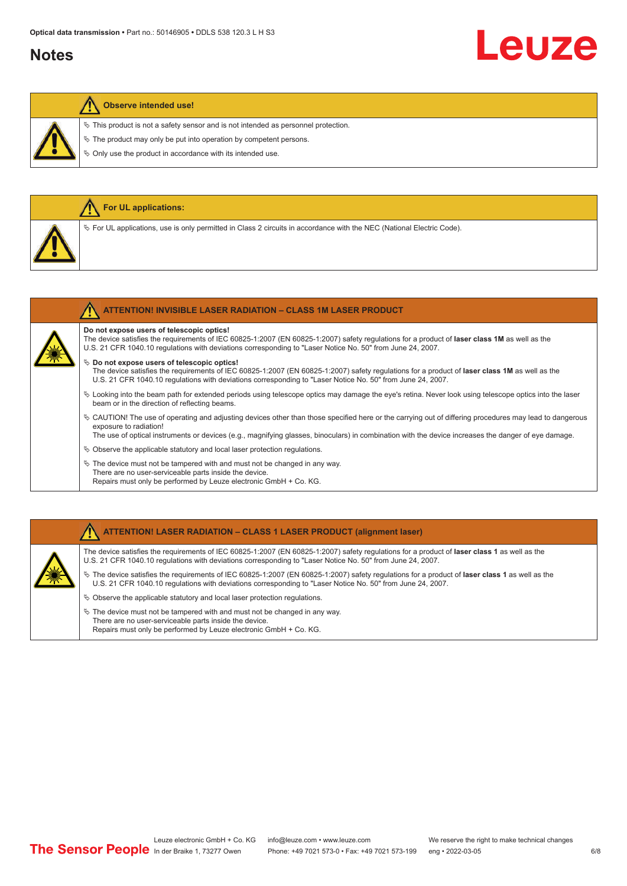#### **Notes**

# Leuze

#### **Observe intended use!**

**For UL applications:**

 $\%$  This product is not a safety sensor and is not intended as personnel protection.

 $\ddot{\phi}$  The product may only be put into operation by competent persons.

 $\%$  Only use the product in accordance with its intended use.

| V For UL applications, use is only permitted in Class 2 circuits in accordance with the NEC (National Electric Code).                                                                                                                                                                                                                    |
|------------------------------------------------------------------------------------------------------------------------------------------------------------------------------------------------------------------------------------------------------------------------------------------------------------------------------------------|
|                                                                                                                                                                                                                                                                                                                                          |
| <b>ATTENTION! INVISIBLE LASER RADIATION - CLASS 1M LASER PRODUCT</b>                                                                                                                                                                                                                                                                     |
| Do not expose users of telescopic optics!<br>The device satisfies the requirements of IEC 60825-1:2007 (EN 60825-1:2007) safety regulations for a product of laser class 1M as well as the<br>U.S. 21 CFR 1040.10 regulations with deviations corresponding to "Laser Notice No. 50" from June 24, 2007.                                 |
| $\%$ Do not expose users of telescopic optics!<br>The device satisfies the requirements of IEC 60825-1:2007 (EN 60825-1:2007) safety regulations for a product of laser class 1M as well as the<br>U.S. 21 CFR 1040.10 regulations with deviations corresponding to "Laser Notice No. 50" from June 24, 2007.                            |
| Looking into the beam path for extended periods using telescope optics may damage the eye's retina. Never look using telescope optics into the laser<br>beam or in the direction of reflecting beams.                                                                                                                                    |
| ↓ CAUTION! The use of operating and adjusting devices other than those specified here or the carrying out of differing procedures may lead to dangerous<br>exposure to radiation!<br>The use of optical instruments or devices (e.g., magnifying glasses, binoculars) in combination with the device increases the danger of eye damage. |
| $\%$ Observe the applicable statutory and local laser protection regulations.                                                                                                                                                                                                                                                            |
| $\&$ The device must not be tampered with and must not be changed in any way.<br>There are no user-serviceable parts inside the device.<br>Repairs must only be performed by Leuze electronic GmbH + Co. KG.                                                                                                                             |

#### **ATTENTION! LASER RADIATION – CLASS 1 LASER PRODUCT (alignment laser)**

The device satisfies the requirements of IEC 60825-1:2007 (EN 60825-1:2007) safety regulations for a product of **laser class 1** as well as the U.S. 21 CFR 1040.10 regulations with deviations corresponding to "Laser Notice No. 50" from June 24, 2007.

- ª The device satisfies the requirements of IEC 60825-1:2007 (EN 60825-1:2007) safety regulations for a product of **laser class 1** as well as the U.S. 21 CFR 1040.10 regulations with deviations corresponding to "Laser Notice No. 50" from June 24, 2007.
- $\%$  Observe the applicable statutory and local laser protection regulations.
- $\&$  The device must not be tampered with and must not be changed in any way. There are no user-serviceable parts inside the device. Repairs must only be performed by Leuze electronic GmbH + Co. KG.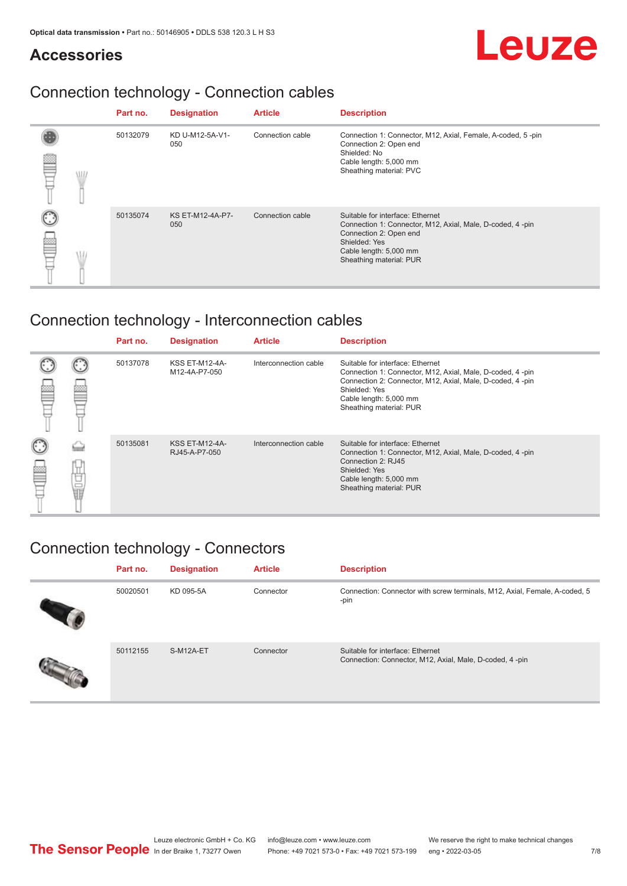#### **Accessories**

## Leuze

### Connection technology - Connection cables

|  | Part no. | <b>Designation</b>             | <b>Article</b>   | <b>Description</b>                                                                                                                                                                            |
|--|----------|--------------------------------|------------------|-----------------------------------------------------------------------------------------------------------------------------------------------------------------------------------------------|
|  | 50132079 | KD U-M12-5A-V1-<br>050         | Connection cable | Connection 1: Connector, M12, Axial, Female, A-coded, 5-pin<br>Connection 2: Open end<br>Shielded: No<br>Cable length: 5,000 mm<br>Sheathing material: PVC                                    |
|  | 50135074 | <b>KS ET-M12-4A-P7-</b><br>050 | Connection cable | Suitable for interface: Ethernet<br>Connection 1: Connector, M12, Axial, Male, D-coded, 4-pin<br>Connection 2: Open end<br>Shielded: Yes<br>Cable length: 5,000 mm<br>Sheathing material: PUR |

### Connection technology - Interconnection cables

|   |    | Part no. | <b>Designation</b>                     | <b>Article</b>        | <b>Description</b>                                                                                                                                                                                                               |
|---|----|----------|----------------------------------------|-----------------------|----------------------------------------------------------------------------------------------------------------------------------------------------------------------------------------------------------------------------------|
|   |    | 50137078 | <b>KSS ET-M12-4A-</b><br>M12-4A-P7-050 | Interconnection cable | Suitable for interface: Ethernet<br>Connection 1: Connector, M12, Axial, Male, D-coded, 4-pin<br>Connection 2: Connector, M12, Axial, Male, D-coded, 4-pin<br>Shielded: Yes<br>Cable length: 5,000 mm<br>Sheathing material: PUR |
| œ | 甘国 | 50135081 | <b>KSS ET-M12-4A-</b><br>RJ45-A-P7-050 | Interconnection cable | Suitable for interface: Ethernet<br>Connection 1: Connector, M12, Axial, Male, D-coded, 4-pin<br>Connection 2: RJ45<br>Shielded: Yes<br>Cable length: 5,000 mm<br>Sheathing material: PUR                                        |

#### Connection technology - Connectors

| Part no. | <b>Designation</b> | <b>Article</b> | <b>Description</b>                                                                          |
|----------|--------------------|----------------|---------------------------------------------------------------------------------------------|
| 50020501 | KD 095-5A          | Connector      | Connection: Connector with screw terminals, M12, Axial, Female, A-coded, 5<br>-pin          |
| 50112155 | S-M12A-ET          | Connector      | Suitable for interface: Ethernet<br>Connection: Connector, M12, Axial, Male, D-coded, 4-pin |